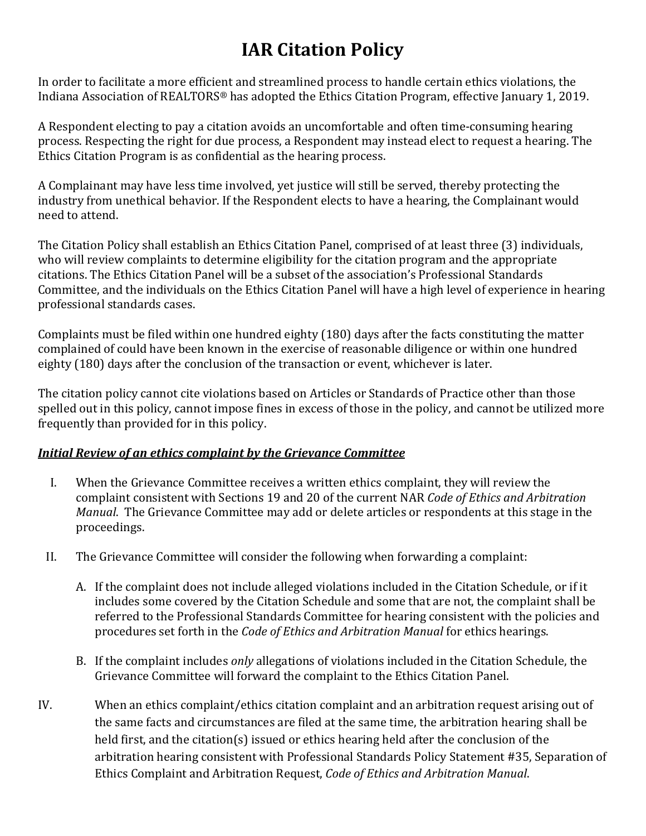# **IAR Citation Policy**

In order to facilitate a more efficient and streamlined process to handle certain ethics violations, the Indiana Association of REALTORS® has adopted the Ethics Citation Program, effective January 1, 2019.

A Respondent electing to pay a citation avoids an uncomfortable and often time-consuming hearing process. Respecting the right for due process, a Respondent may instead elect to request a hearing. The Ethics Citation Program is as confidential as the hearing process.

A Complainant may have less time involved, yet justice will still be served, thereby protecting the industry from unethical behavior. If the Respondent elects to have a hearing, the Complainant would need to attend.

The Citation Policy shall establish an Ethics Citation Panel, comprised of at least three (3) individuals, who will review complaints to determine eligibility for the citation program and the appropriate citations. The Ethics Citation Panel will be a subset of the association's Professional Standards Committee, and the individuals on the Ethics Citation Panel will have a high level of experience in hearing professional standards cases.

Complaints must be filed within one hundred eighty (180) days after the facts constituting the matter complained of could have been known in the exercise of reasonable diligence or within one hundred eighty (180) days after the conclusion of the transaction or event, whichever is later.

The citation policy cannot cite violations based on Articles or Standards of Practice other than those spelled out in this policy, cannot impose fines in excess of those in the policy, and cannot be utilized more frequently than provided for in this policy.

### *Initial Review of an ethics complaint by the Grievance Committee*

- I. When the Grievance Committee receives a written ethics complaint, they will review the complaint consistent with Sections 19 and 20 of the current NAR *Code of Ethics and Arbitration Manual*. The Grievance Committee may add or delete articles or respondents at this stage in the proceedings.
- II. The Grievance Committee will consider the following when forwarding a complaint:
	- A. If the complaint does not include alleged violations included in the Citation Schedule, or if it includes some covered by the Citation Schedule and some that are not, the complaint shall be referred to the Professional Standards Committee for hearing consistent with the policies and procedures set forth in the *Code of Ethics and Arbitration Manual* for ethics hearings.
	- B. If the complaint includes *only* allegations of violations included in the Citation Schedule, the Grievance Committee will forward the complaint to the Ethics Citation Panel.
- IV. When an ethics complaint/ethics citation complaint and an arbitration request arising out of the same facts and circumstances are filed at the same time, the arbitration hearing shall be held first, and the citation(s) issued or ethics hearing held after the conclusion of the arbitration hearing consistent with Professional Standards Policy Statement #35, Separation of Ethics Complaint and Arbitration Request, *Code of Ethics and Arbitration Manual*.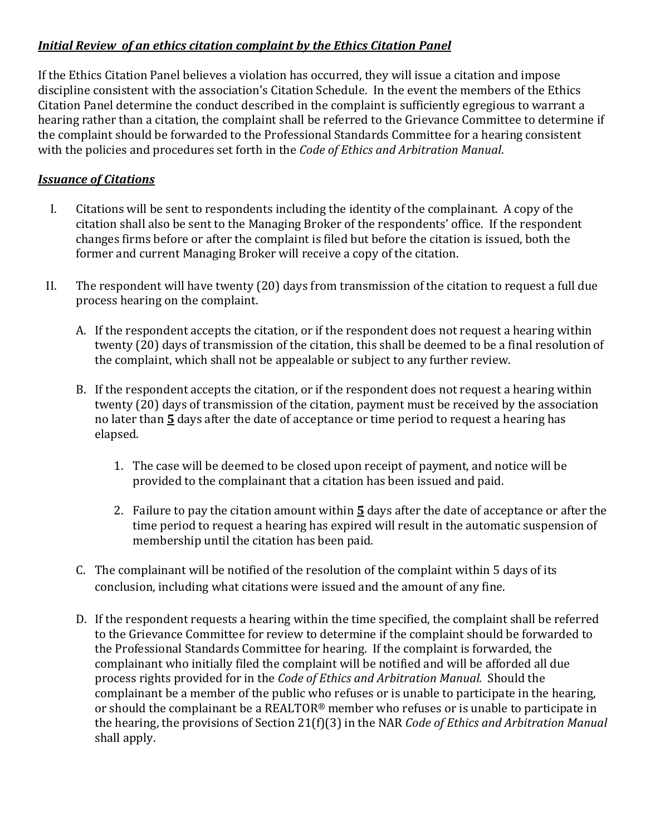## *Initial Review of an ethics citation complaint by the Ethics Citation Panel*

If the Ethics Citation Panel believes a violation has occurred, they will issue a citation and impose discipline consistent with the association's Citation Schedule. In the event the members of the Ethics Citation Panel determine the conduct described in the complaint is sufficiently egregious to warrant a hearing rather than a citation, the complaint shall be referred to the Grievance Committee to determine if the complaint should be forwarded to the Professional Standards Committee for a hearing consistent with the policies and procedures set forth in the *Code of Ethics and Arbitration Manual*.

## *Issuance of Citations*

- I. Citations will be sent to respondents including the identity of the complainant. A copy of the citation shall also be sent to the Managing Broker of the respondents' office. If the respondent changes firms before or after the complaint is filed but before the citation is issued, both the former and current Managing Broker will receive a copy of the citation.
- II. The respondent will have twenty (20) days from transmission of the citation to request a full due process hearing on the complaint.
	- A. If the respondent accepts the citation, or if the respondent does not request a hearing within twenty (20) days of transmission of the citation, this shall be deemed to be a final resolution of the complaint, which shall not be appealable or subject to any further review.
	- B. If the respondent accepts the citation, or if the respondent does not request a hearing within twenty (20) days of transmission of the citation, payment must be received by the association no later than **5** days after the date of acceptance or time period to request a hearing has elapsed.
		- 1. The case will be deemed to be closed upon receipt of payment, and notice will be provided to the complainant that a citation has been issued and paid.
		- 2. Failure to pay the citation amount within **5** days after the date of acceptance or after the time period to request a hearing has expired will result in the automatic suspension of membership until the citation has been paid.
	- C. The complainant will be notified of the resolution of the complaint within 5 days of its conclusion, including what citations were issued and the amount of any fine.
	- D. If the respondent requests a hearing within the time specified, the complaint shall be referred to the Grievance Committee for review to determine if the complaint should be forwarded to the Professional Standards Committee for hearing. If the complaint is forwarded, the complainant who initially filed the complaint will be notified and will be afforded all due process rights provided for in the *Code of Ethics and Arbitration Manual.* Should the complainant be a member of the public who refuses or is unable to participate in the hearing, or should the complainant be a REALTOR® member who refuses or is unable to participate in the hearing, the provisions of Section 21(f)(3) in the NAR *Code of Ethics and Arbitration Manual*  shall apply.